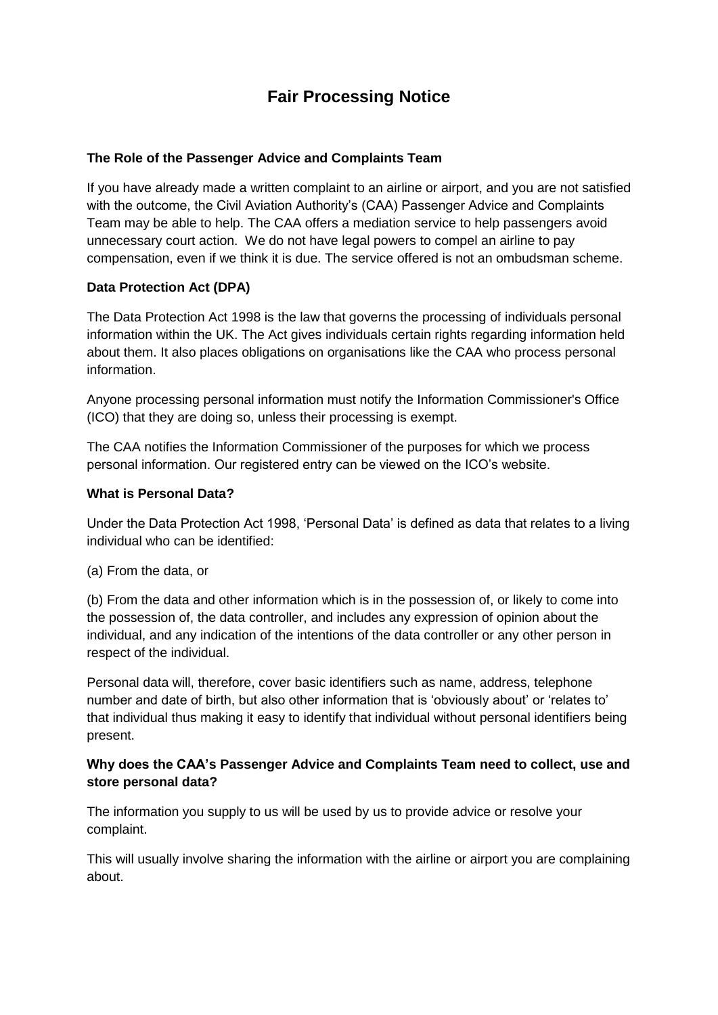# **Fair Processing Notice**

# **The Role of the Passenger Advice and Complaints Team**

If you have already made a written complaint to an airline or airport, and you are not satisfied with the outcome, the Civil Aviation Authority's (CAA) Passenger Advice and Complaints Team may be able to help. The CAA offers a mediation service to help passengers avoid unnecessary court action. We do not have legal powers to compel an airline to pay compensation, even if we think it is due. The service offered is not an ombudsman scheme.

# **Data Protection Act (DPA)**

The Data Protection Act 1998 is the law that governs the processing of individuals personal information within the UK. The Act gives individuals certain rights regarding information held about them. It also places obligations on organisations like the CAA who process personal information.

Anyone processing personal information must notify the Information Commissioner's Office (ICO) that they are doing so, unless their processing is exempt.

The CAA notifies the Information Commissioner of the purposes for which we process personal information. Our registered entry can be viewed on the ICO's website.

## **What is Personal Data?**

Under the Data Protection Act 1998, 'Personal Data' is defined as data that relates to a living individual who can be identified:

(a) From the data, or

(b) From the data and other information which is in the possession of, or likely to come into the possession of, the data controller, and includes any expression of opinion about the individual, and any indication of the intentions of the data controller or any other person in respect of the individual.

Personal data will, therefore, cover basic identifiers such as name, address, telephone number and date of birth, but also other information that is 'obviously about' or 'relates to' that individual thus making it easy to identify that individual without personal identifiers being present.

# **Why does the CAA's Passenger Advice and Complaints Team need to collect, use and store personal data?**

The information you supply to us will be used by us to provide advice or resolve your complaint.

This will usually involve sharing the information with the airline or airport you are complaining about.